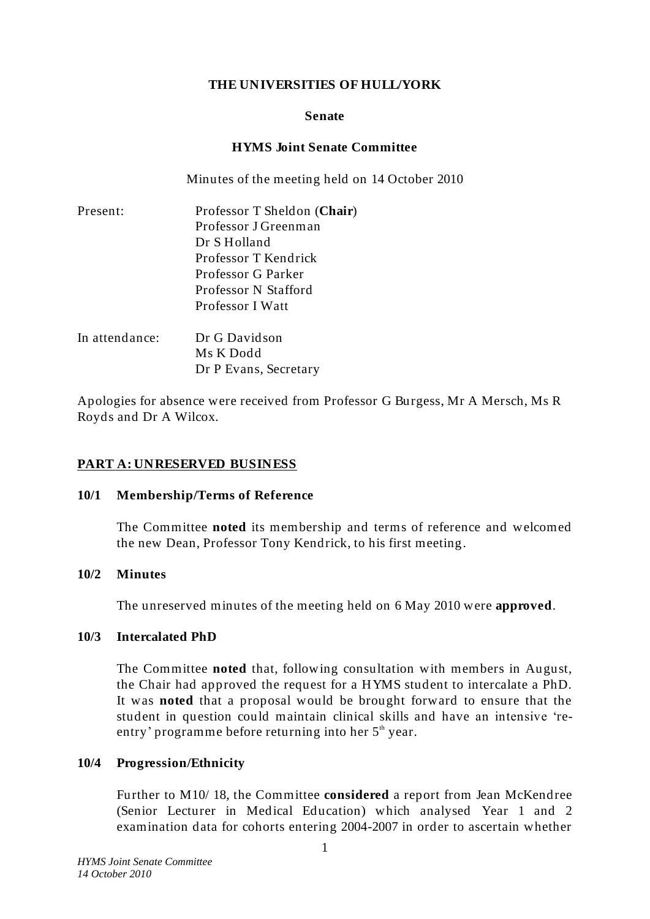## **THE UNIVERSITIES OF HULL/YORK**

#### **Senate**

### **HYMS Joint Senate Committee**

Minutes of the meeting held on 14 October 2010

| Present:       | Professor T Sheldon (Chair) |
|----------------|-----------------------------|
|                | Professor J Greenman        |
|                | Dr S Holland                |
|                | Professor T Kendrick        |
|                | Professor G Parker          |
|                | Professor N Stafford        |
|                | Professor I Watt            |
| In attendance: | Dr G Davidson               |
|                | Ms K Dodd                   |

Dr P Evans, Secretary

Apologies for absence were received from Professor G Burgess, Mr A Mersch, Ms R Royds and Dr A Wilcox.

## **PART A: UNRESERVED BUSINESS**

#### **10/1 Membership/Terms of Reference**

The Committee **noted** its membership and terms of reference and welcomed the new Dean, Professor Tony Kendrick, to his first meeting.

#### **10/2 Minutes**

The unreserved minutes of the meeting held on 6 May 2010 were **approved**.

#### **10/3 Intercalated PhD**

The Committee **noted** that, following consultation with members in August, the Chair had approved the request for a HYMS student to intercalate a PhD. It was **noted** that a proposal would be brought forward to ensure that the student in question could maintain clinical skills and have an intensive 'reentry' programme before returning into her  $5<sup>th</sup>$  year.

## **10/4 Progression/Ethnicity**

Further to M10/ 18, the Committee **considered** a report from Jean McKendree (Senior Lecturer in Medical Education) which analysed Year 1 and 2 examination data for cohorts entering 2004-2007 in order to ascertain whether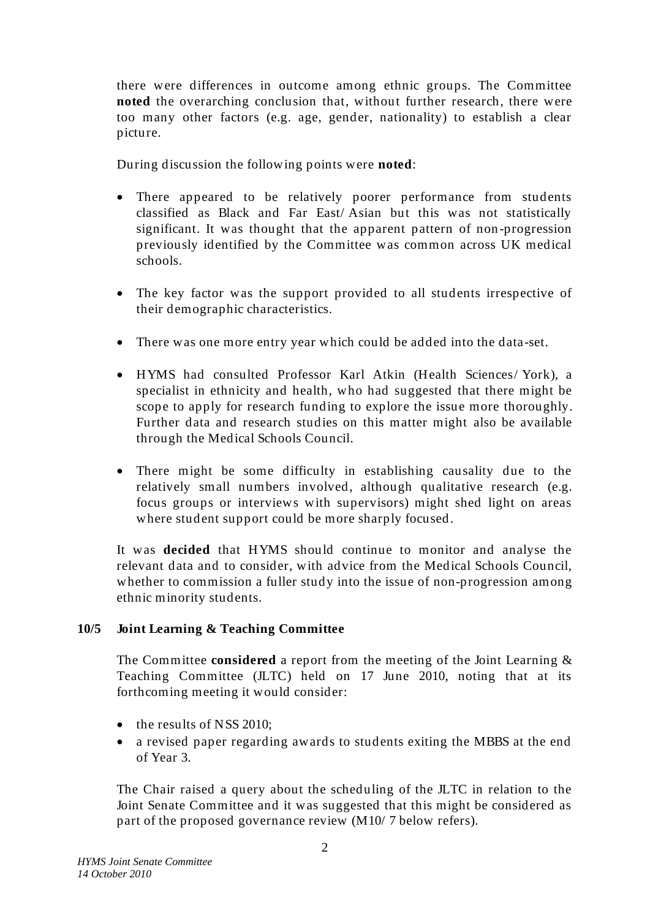there were differences in outcome among ethnic groups. The Committee **noted** the overarching conclusion that, without further research, there were too many other factors (e.g. age, gender, nationality) to establish a clear picture.

During discussion the following points were **noted**:

- There appeared to be relatively poorer performance from students classified as Black and Far East/ Asian but this was not statistically significant. It was thought that the apparent pattern of non -progression previously identified by the Committee was common across UK medical schools.
- The key factor was the support provided to all students irrespective of their demographic characteristics.
- There was one more entry year which could be added into the data-set.
- HYMS had consulted Professor Karl Atkin (Health Sciences/ York), a specialist in ethnicity and health, who had suggested that there might be scope to apply for research funding to explore the issue more thoroughly. Further data and research studies on this matter might also be available through the Medical Schools Council.
- There might be some difficulty in establishing causality due to the relatively small numbers involved, although qualitative research (e.g. focus groups or interviews with supervisors) might shed light on areas where student support could be more sharply focused.

It was **decided** that HYMS should continue to monitor and analyse the relevant data and to consider, with advice from the Medical Schools Council, whether to commission a fuller study into the issue of non-progression among ethnic minority students.

# **10/5 Joint Learning & Teaching Committee**

The Committee **considered** a report from the meeting of the Joint Learning & Teaching Committee (JLTC) held on 17 June 2010, noting that at its forthcoming meeting it would consider:

- the results of NSS 2010:
- a revised paper regarding awards to students exiting the MBBS at the end of Year 3.

The Chair raised a query about the scheduling of the JLTC in relation to the Joint Senate Committee and it was suggested that this might be considered as part of the proposed governance review (M10/ 7 below refers).